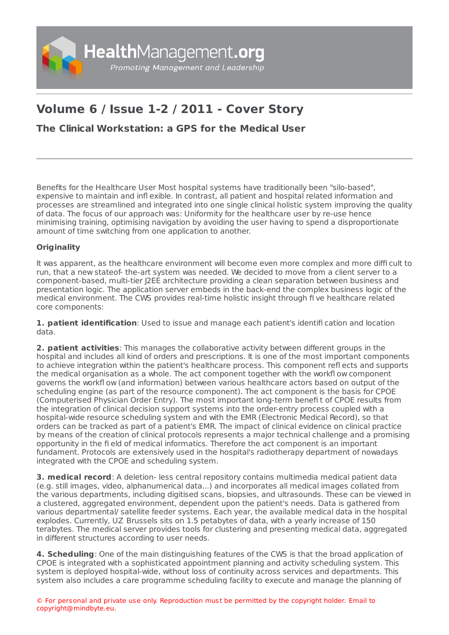

# **Volume 6 / Issue 1-2 / 2011 - Cover Story**

# **The Clinical [Workstation:](https://www.healthmanagement.org/s/the-clinical-workstation-a-gps-for-the-medical-user) a GPS for the Medical User**

Benefits for the Healthcare User Most hospital systems have traditionally been "silo-based", expensive to maintain and infl exible. In contrast, all patient and hospital related information and processes are streamlined and integrated into one single clinical holistic system improving the quality of data. The focus of our approach was: Uniformity for the healthcare user by re-use hence minimising training, optimising navigation by avoiding the user having to spend a disproportionate amount of time switching from one application to another.

## **Originality**

It was apparent, as the healthcare environment will become even more complex and more diffi cult to run, that a new stateof- the-art system was needed. We decided to move from a client server to a component-based, multi-tier J2EE architecture providing a clean separation between business and presentation logic. The application server embeds in the back-end the complex business logic of the medical environment. The CWS provides real-time holistic insight through fi ve healthcare related core components:

**1. patient identification**: Used to issue and manage each patient's identifi cation and location data.

**2. patient activities**: This manages the collaborative activity between different groups in the hospital and includes all kind of orders and prescriptions. It is one of the most important components to achieve integration within the patient's healthcare process. This component refl ects and supports the medical organisation as a whole. The act component together with the workfl ow component governs the workfl ow (and information) between various healthcare actors based on output of the scheduling engine (as part of the resource component). The act component is the basis for CPOE (Computerised Physician Order Entry). The most important long-term benefi t of CPOE results from the integration of clinical decision support systems into the order-entry process coupled with a hospital-wide resource scheduling system and with the EMR (Electronic Medical Record), so that orders can be tracked as part of a patient's EMR. The impact of clinical evidence on clinical practice by means of the creation of clinical protocols represents a major technical challenge and a promising opportunity in the fi eld of medical informatics. Therefore the act component is an important fundament. Protocols are extensively used in the hospital's radiotherapy department of nowadays integrated with the CPOE and scheduling system.

**3. medical record**: A deletion- less central repository contains multimedia medical patient data (e.g. still images, video, alphanumerical data...) and incorporates all medical images collated from the various departments, including digitised scans, biopsies, and ultrasounds. These can be viewed in a clustered, aggregated environment, dependent upon the patient's needs. Data is gathered from various departmental/ satellite feeder systems. Each year, the available medical data in the hospital explodes. Currently, UZ Brussels sits on 1.5 petabytes of data, with a yearly increase of 150 terabytes. The medical server provides tools for clustering and presenting medical data, aggregated in different structures according to user needs.

**4. Scheduling**: One of the main distinguishing features of the CWS is that the broad application of CPOE is integrated with a sophisticated appointment planning and activity scheduling system. This system is deployed hospital-wide, without loss of continuity across services and departments. This system also includes a care programme scheduling facility to execute and manage the planning of